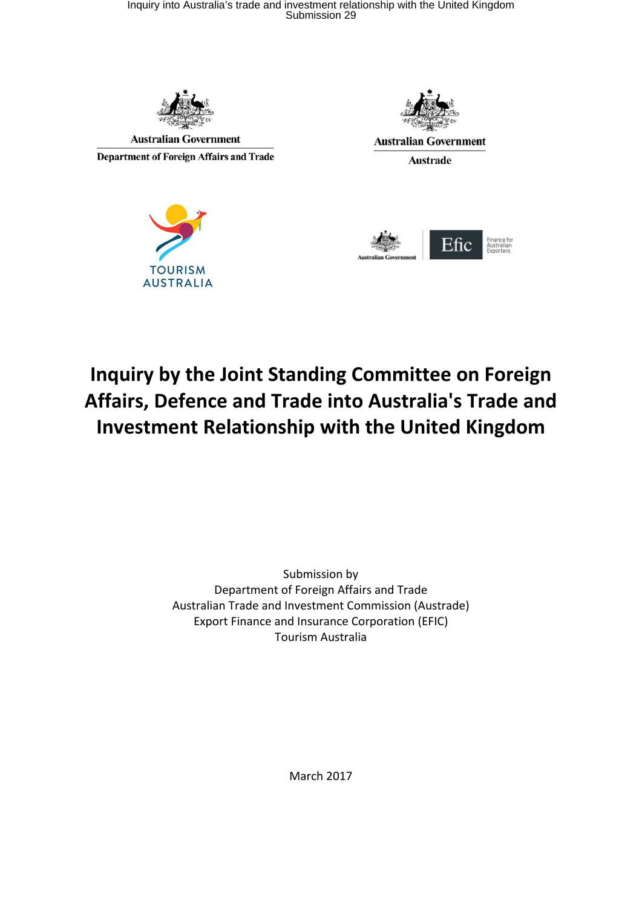

**Australian Government** 

Department of Foreign Affairs and Trade





**Australian Government** 

**Austrade** 



# **Inquiry by the Joint Standing Committee on Foreign Affairs, Defence and Trade into Australia's Trade and Investment Relationship with the United Kingdom**

Submission by Department of Foreign Affairs and Trade Australian Trade and Investment Commission (Austrade) Export Finance and Insurance Corporation (EFIC) Tourism Australia

March 2017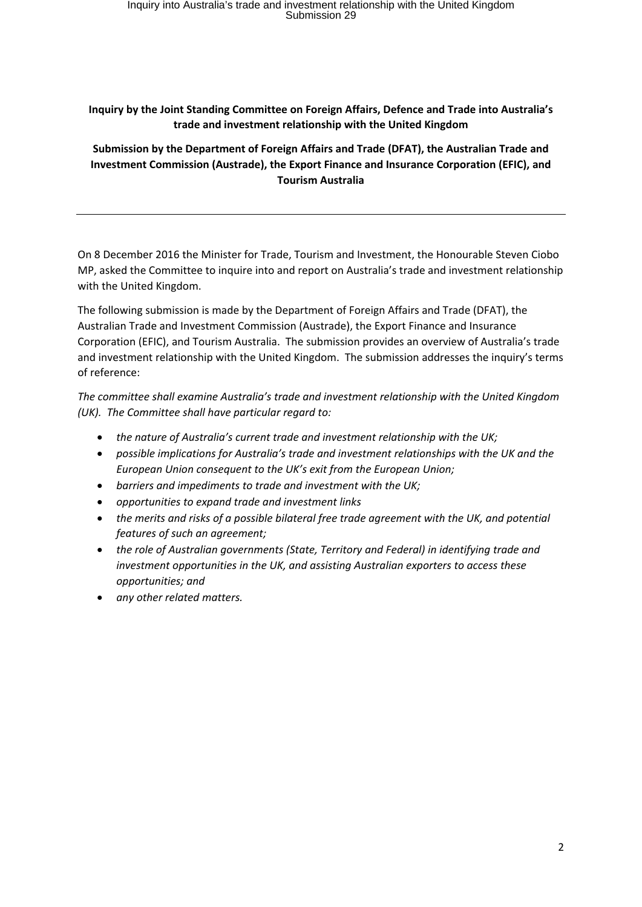## **Inquiry by the Joint Standing Committee on Foreign Affairs, Defence and Trade into Australia's trade and investment relationship with the United Kingdom**

**Submission by the Department of Foreign Affairs and Trade (DFAT), the Australian Trade and Investment Commission (Austrade), the Export Finance and Insurance Corporation (EFIC), and Tourism Australia**

On 8 December 2016 the Minister for Trade, Tourism and Investment, the Honourable Steven Ciobo MP, asked the Committee to inquire into and report on Australia's trade and investment relationship with the United Kingdom.

The following submission is made by the Department of Foreign Affairs and Trade (DFAT), the Australian Trade and Investment Commission (Austrade), the Export Finance and Insurance Corporation (EFIC), and Tourism Australia. The submission provides an overview of Australia's trade and investment relationship with the United Kingdom. The submission addresses the inquiry's terms of reference:

*The committee shall examine Australia's trade and investment relationship with the United Kingdom (UK). The Committee shall have particular regard to:*

- *the nature of Australia's current trade and investment relationship with the UK;*
- *possible implications for Australia's trade and investment relationships with the UK and the European Union consequent to the UK's exit from the European Union;*
- *barriers and impediments to trade and investment with the UK;*
- *opportunities to expand trade and investment links*
- *the merits and risks of a possible bilateral free trade agreement with the UK, and potential features of such an agreement;*
- *the role of Australian governments (State, Territory and Federal) in identifying trade and investment opportunities in the UK, and assisting Australian exporters to access these opportunities; and*
- *any other related matters.*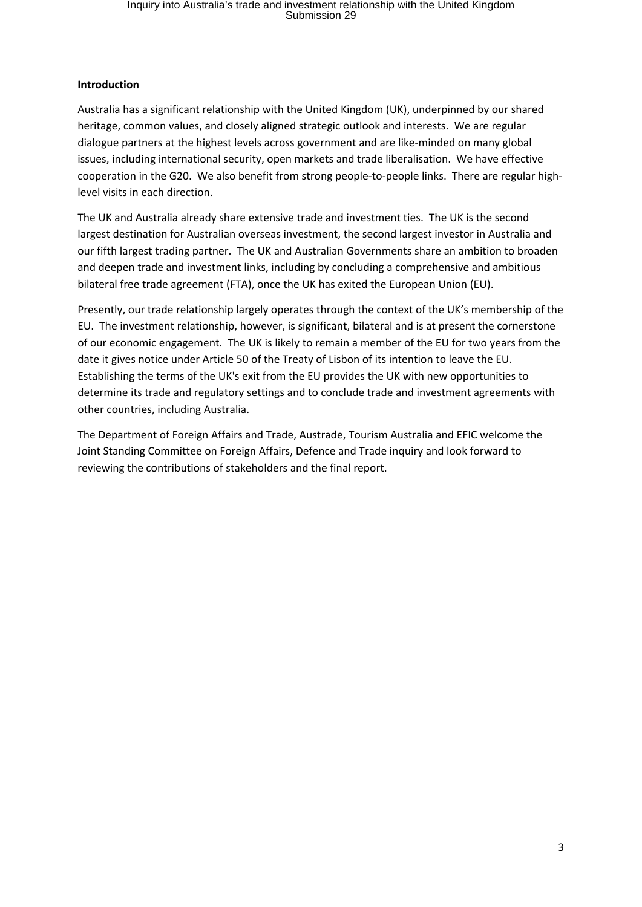#### **Introduction**

Australia has a significant relationship with the United Kingdom (UK), underpinned by our shared heritage, common values, and closely aligned strategic outlook and interests. We are regular dialogue partners at the highest levels across government and are like-minded on many global issues, including international security, open markets and trade liberalisation. We have effective cooperation in the G20. We also benefit from strong people-to-people links. There are regular highlevel visits in each direction.

The UK and Australia already share extensive trade and investment ties. The UK is the second largest destination for Australian overseas investment, the second largest investor in Australia and our fifth largest trading partner. The UK and Australian Governments share an ambition to broaden and deepen trade and investment links, including by concluding a comprehensive and ambitious bilateral free trade agreement (FTA), once the UK has exited the European Union (EU).

Presently, our trade relationship largely operates through the context of the UK's membership of the EU. The investment relationship, however, is significant, bilateral and is at present the cornerstone of our economic engagement. The UK is likely to remain a member of the EU for two years from the date it gives notice under Article 50 of the Treaty of Lisbon of its intention to leave the EU. Establishing the terms of the UK's exit from the EU provides the UK with new opportunities to determine its trade and regulatory settings and to conclude trade and investment agreements with other countries, including Australia.

The Department of Foreign Affairs and Trade, Austrade, Tourism Australia and EFIC welcome the Joint Standing Committee on Foreign Affairs, Defence and Trade inquiry and look forward to reviewing the contributions of stakeholders and the final report.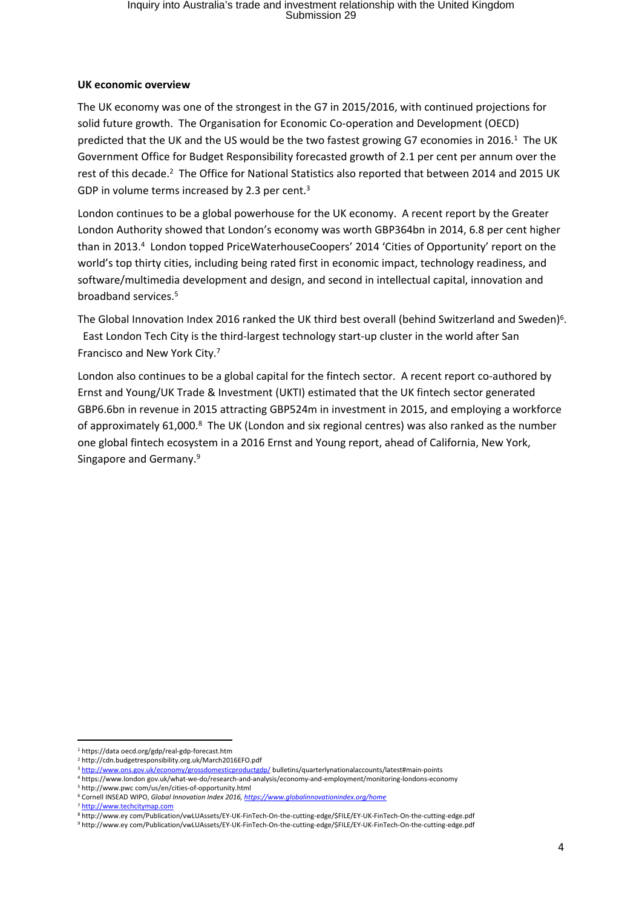#### **UK economic overview**

The UK economy was one of the strongest in the G7 in 2015/2016, with continued projections for solid future growth. The Organisation for Economic Co-operation and Development (OECD) predicted that the UK and the US would be the two fastest growing G7 economies in 2016.<sup>1</sup> The UK Government Office for Budget Responsibility forecasted growth of 2.1 per cent per annum over the rest of this decade.<sup>2</sup> The Office for National Statistics also reported that between 2014 and 2015 UK GDP in volume terms increased by 2.3 per cent.<sup>3</sup>

London continues to be a global powerhouse for the UK economy. A recent report by the Greater London Authority showed that London's economy was worth GBP364bn in 2014, 6.8 per cent higher than in 2013.<sup>4</sup> London topped PriceWaterhouseCoopers' 2014 'Cities of Opportunity' report on the world's top thirty cities, including being rated first in economic impact, technology readiness, and software/multimedia development and design, and second in intellectual capital, innovation and broadband services.<sup>5</sup>

The Global Innovation Index 2016 ranked the UK third best overall (behind Switzerland and Sweden)<sup>6</sup>. East London Tech City is the third-largest technology start-up cluster in the world after San Francisco and New York City.<sup>7</sup>

London also continues to be a global capital for the fintech sector. A recent report co-authored by Ernst and Young/UK Trade & Investment (UKTI) estimated that the UK fintech sector generated GBP6.6bn in revenue in 2015 attracting GBP524m in investment in 2015, and employing a workforce of approximately 61,000.<sup>8</sup> The UK (London and six regional centres) was also ranked as the number one global fintech ecosystem in a 2016 Ernst and Young report, ahead of California, New York, Singapore and Germany.<sup>9</sup>

<sup>7</sup> http://www.techcitymap.com

<sup>1</sup> https://data oecd.org/gdp/real-gdp-forecast.htm

<sup>2</sup> http://cdn.budgetresponsibility.org.uk/March2016EFO.pdf

<sup>&</sup>lt;sup>3</sup> http://www.ons.gov.uk/economy/grossdomesticproductgdp/ bulletins/quarterlynationalaccounts/latest#main-points

<sup>4</sup> https://www.london gov.uk/what-we-do/research-and-analysis/economy-and-employment/monitoring-londons-economy 5 http://www.pwc com/us/en/cities-of-opportunity.html

<sup>6</sup> Cornell INSEAD WIPO, *Global Innovation Index 2016, https://www.globalinnovationindex.org/home*

<sup>8</sup> http://www.ey com/Publication/vwLUAssets/EY-UK-FinTech-On-the-cutting-edge/\$FILE/EY-UK-FinTech-On-the-cutting-edge.pdf 9 http://www.ey com/Publication/vwLUAssets/EY-UK-FinTech-On-the-cutting-edge/\$FILE/EY-UK-FinTech-On-the-cutting-edge.pdf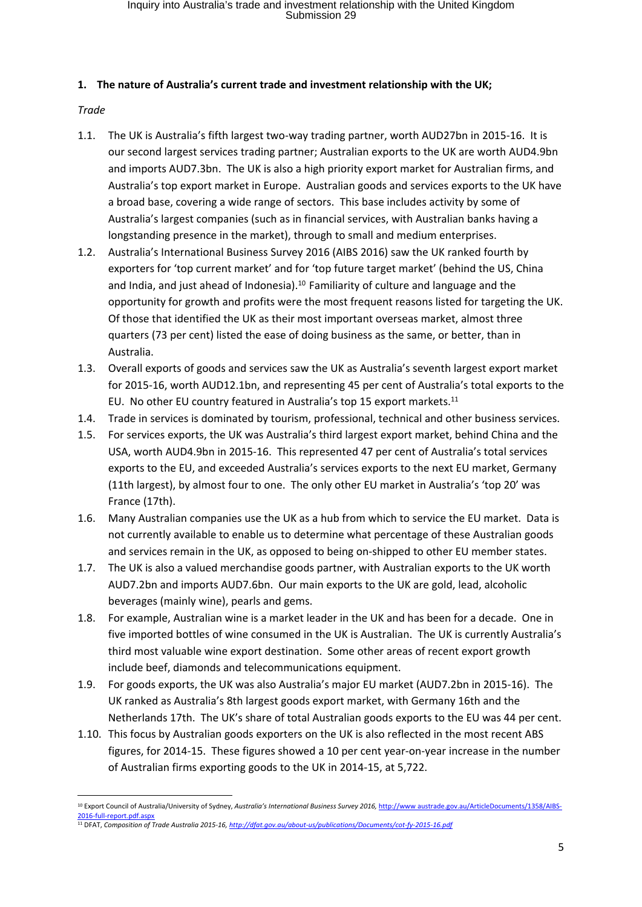### **1. The nature of Australia's current trade and investment relationship with the UK;**

*Trade*

- 1.1. The UK is Australia's fifth largest two-way trading partner, worth AUD27bn in 2015-16. It is our second largest services trading partner; Australian exports to the UK are worth AUD4.9bn and imports AUD7.3bn. The UK is also a high priority export market for Australian firms, and Australia's top export market in Europe. Australian goods and services exports to the UK have a broad base, covering a wide range of sectors. This base includes activity by some of Australia's largest companies (such as in financial services, with Australian banks having a longstanding presence in the market), through to small and medium enterprises.
- 1.2. Australia's International Business Survey 2016 (AIBS 2016) saw the UK ranked fourth by exporters for 'top current market' and for 'top future target market' (behind the US, China and India, and just ahead of Indonesia).<sup>10</sup> Familiarity of culture and language and the opportunity for growth and profits were the most frequent reasons listed for targeting the UK. Of those that identified the UK as their most important overseas market, almost three quarters (73 per cent) listed the ease of doing business as the same, or better, than in Australia.
- 1.3. Overall exports of goods and services saw the UK as Australia's seventh largest export market for 2015-16, worth AUD12.1bn, and representing 45 per cent of Australia's total exports to the EU. No other EU country featured in Australia's top 15 export markets.<sup>11</sup>
- 1.4. Trade in services is dominated by tourism, professional, technical and other business services.
- 1.5. For services exports, the UK was Australia's third largest export market, behind China and the USA, worth AUD4.9bn in 2015-16. This represented 47 per cent of Australia's total services exports to the EU, and exceeded Australia's services exports to the next EU market, Germany (11th largest), by almost four to one. The only other EU market in Australia's 'top 20' was France (17th).
- 1.6. Many Australian companies use the UK as a hub from which to service the EU market. Data is not currently available to enable us to determine what percentage of these Australian goods and services remain in the UK, as opposed to being on-shipped to other EU member states.
- 1.7. The UK is also a valued merchandise goods partner, with Australian exports to the UK worth AUD7.2bn and imports AUD7.6bn. Our main exports to the UK are gold, lead, alcoholic beverages (mainly wine), pearls and gems.
- 1.8. For example, Australian wine is a market leader in the UK and has been for a decade. One in five imported bottles of wine consumed in the UK is Australian. The UK is currently Australia's third most valuable wine export destination. Some other areas of recent export growth include beef, diamonds and telecommunications equipment.
- 1.9. For goods exports, the UK was also Australia's major EU market (AUD7.2bn in 2015-16). The UK ranked as Australia's 8th largest goods export market, with Germany 16th and the Netherlands 17th. The UK's share of total Australian goods exports to the EU was 44 per cent.
- 1.10. This focus by Australian goods exporters on the UK is also reflected in the most recent ABS figures, for 2014-15. These figures showed a 10 per cent year-on-year increase in the number of Australian firms exporting goods to the UK in 2014-15, at 5,722.

<sup>10</sup> Export Council of Australia/University of Sydney, Australia's International Business Survey 2016, http://www austrade.gov.au/ArticleDocuments/1358/AIBS-2016-full-report.pdf.aspx

<sup>11</sup> DFAT, *Composition of Trade Australia 2015-16, http://dfat.gov.au/about-us/publications/Documents/cot-fy-2015-16.pdf*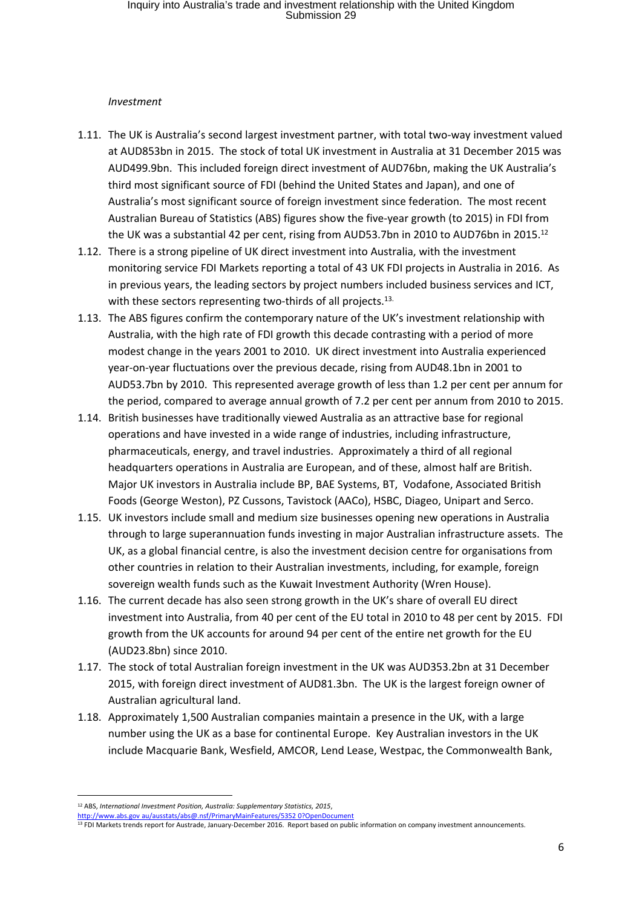#### *Investment*

- 1.11. The UK is Australia's second largest investment partner, with total two-way investment valued at AUD853bn in 2015. The stock of total UK investment in Australia at 31 December 2015 was AUD499.9bn. This included foreign direct investment of AUD76bn, making the UK Australia's third most significant source of FDI (behind the United States and Japan), and one of Australia's most significant source of foreign investment since federation. The most recent Australian Bureau of Statistics (ABS) figures show the five-year growth (to 2015) in FDI from the UK was a substantial 42 per cent, rising from AUD53.7bn in 2010 to AUD76bn in 2015.<sup>12</sup>
- 1.12. There is a strong pipeline of UK direct investment into Australia, with the investment monitoring service FDI Markets reporting a total of 43 UK FDI projects in Australia in 2016. As in previous years, the leading sectors by project numbers included business services and ICT, with these sectors representing two-thirds of all projects.<sup>13.</sup>
- 1.13. The ABS figures confirm the contemporary nature of the UK's investment relationship with Australia, with the high rate of FDI growth this decade contrasting with a period of more modest change in the years 2001 to 2010. UK direct investment into Australia experienced year-on-year fluctuations over the previous decade, rising from AUD48.1bn in 2001 to AUD53.7bn by 2010. This represented average growth of less than 1.2 per cent per annum for the period, compared to average annual growth of 7.2 per cent per annum from 2010 to 2015.
- 1.14. British businesses have traditionally viewed Australia as an attractive base for regional operations and have invested in a wide range of industries, including infrastructure, pharmaceuticals, energy, and travel industries. Approximately a third of all regional headquarters operations in Australia are European, and of these, almost half are British. Major UK investors in Australia include BP, BAE Systems, BT, Vodafone, Associated British Foods (George Weston), PZ Cussons, Tavistock (AACo), HSBC, Diageo, Unipart and Serco.
- 1.15. UK investors include small and medium size businesses opening new operations in Australia through to large superannuation funds investing in major Australian infrastructure assets. The UK, as a global financial centre, is also the investment decision centre for organisations from other countries in relation to their Australian investments, including, for example, foreign sovereign wealth funds such as the Kuwait Investment Authority (Wren House).
- 1.16. The current decade has also seen strong growth in the UK's share of overall EU direct investment into Australia, from 40 per cent of the EU total in 2010 to 48 per cent by 2015. FDI growth from the UK accounts for around 94 per cent of the entire net growth for the EU (AUD23.8bn) since 2010.
- 1.17. The stock of total Australian foreign investment in the UK was AUD353.2bn at 31 December 2015, with foreign direct investment of AUD81.3bn. The UK is the largest foreign owner of Australian agricultural land.
- 1.18. Approximately 1,500 Australian companies maintain a presence in the UK, with a large number using the UK as a base for continental Europe. Key Australian investors in the UK include Macquarie Bank, Wesfield, AMCOR, Lend Lease, Westpac, the Commonwealth Bank,

<sup>12</sup> ABS, *International Investment Position, Australia: Supplementary Statistics, 2015*,

http://www.abs.gov au/ausstats/abs@.nsf/PrimaryMainFeatures/5352 0?OpenDocument

<sup>&</sup>lt;sup>13</sup> FDI Markets trends report for Austrade, January-December 2016. Report based on public information on company investment announcements.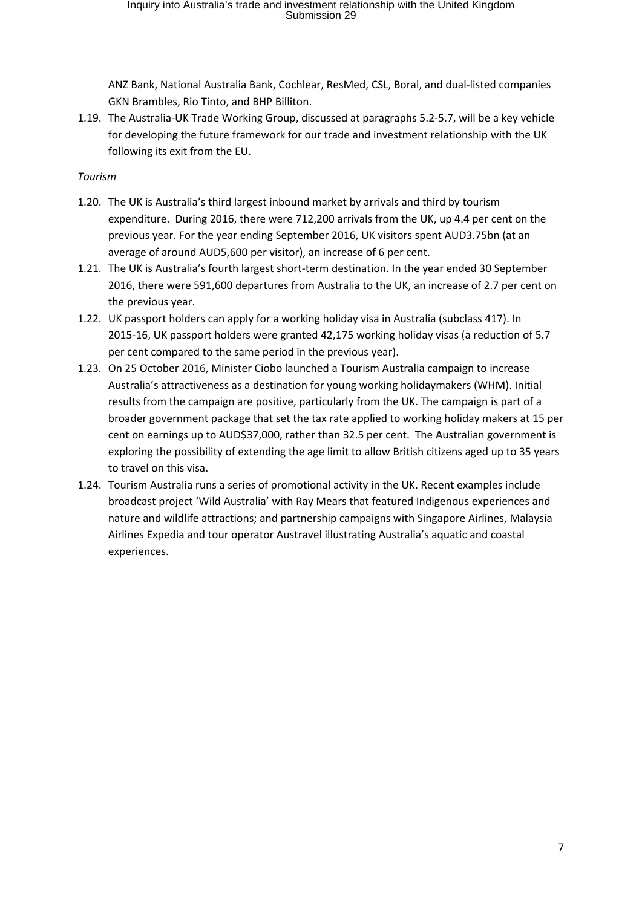ANZ Bank, National Australia Bank, Cochlear, ResMed, CSL, Boral, and dual-listed companies GKN Brambles, Rio Tinto, and BHP Billiton.

1.19. The Australia-UK Trade Working Group, discussed at paragraphs 5.2-5.7, will be a key vehicle for developing the future framework for our trade and investment relationship with the UK following its exit from the EU.

## *Tourism*

- 1.20. The UK is Australia's third largest inbound market by arrivals and third by tourism expenditure. During 2016, there were 712,200 arrivals from the UK, up 4.4 per cent on the previous year. For the year ending September 2016, UK visitors spent AUD3.75bn (at an average of around AUD5,600 per visitor), an increase of 6 per cent.
- 1.21. The UK is Australia's fourth largest short-term destination. In the year ended 30 September 2016, there were 591,600 departures from Australia to the UK, an increase of 2.7 per cent on the previous year.
- 1.22. UK passport holders can apply for a working holiday visa in Australia (subclass 417). In 2015-16, UK passport holders were granted 42,175 working holiday visas (a reduction of 5.7 per cent compared to the same period in the previous year).
- 1.23. On 25 October 2016, Minister Ciobo launched a Tourism Australia campaign to increase Australia's attractiveness as a destination for young working holidaymakers (WHM). Initial results from the campaign are positive, particularly from the UK. The campaign is part of a broader government package that set the tax rate applied to working holiday makers at 15 per cent on earnings up to AUD\$37,000, rather than 32.5 per cent. The Australian government is exploring the possibility of extending the age limit to allow British citizens aged up to 35 years to travel on this visa.
- 1.24. Tourism Australia runs a series of promotional activity in the UK. Recent examples include broadcast project 'Wild Australia' with Ray Mears that featured Indigenous experiences and nature and wildlife attractions; and partnership campaigns with Singapore Airlines, Malaysia Airlines Expedia and tour operator Austravel illustrating Australia's aquatic and coastal experiences.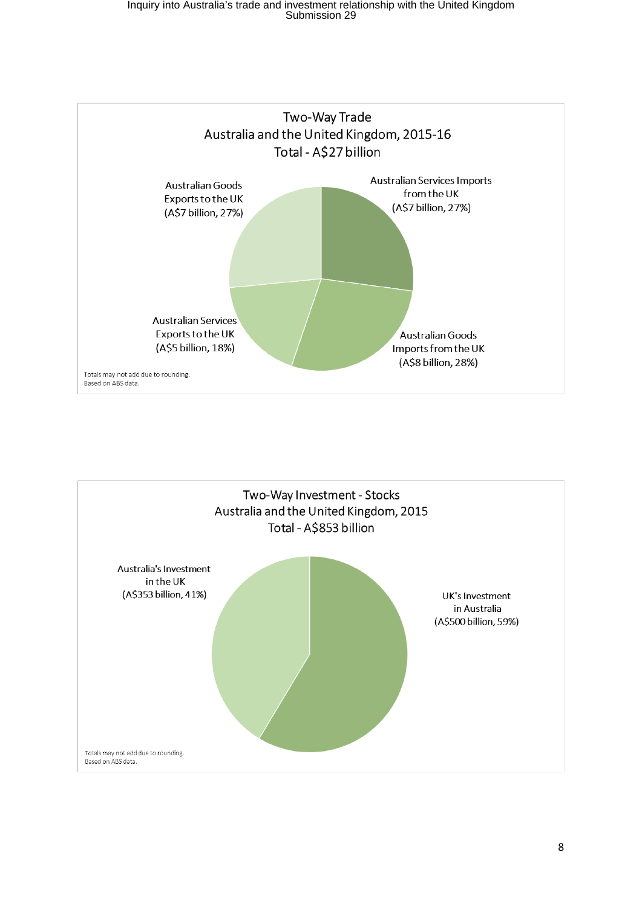

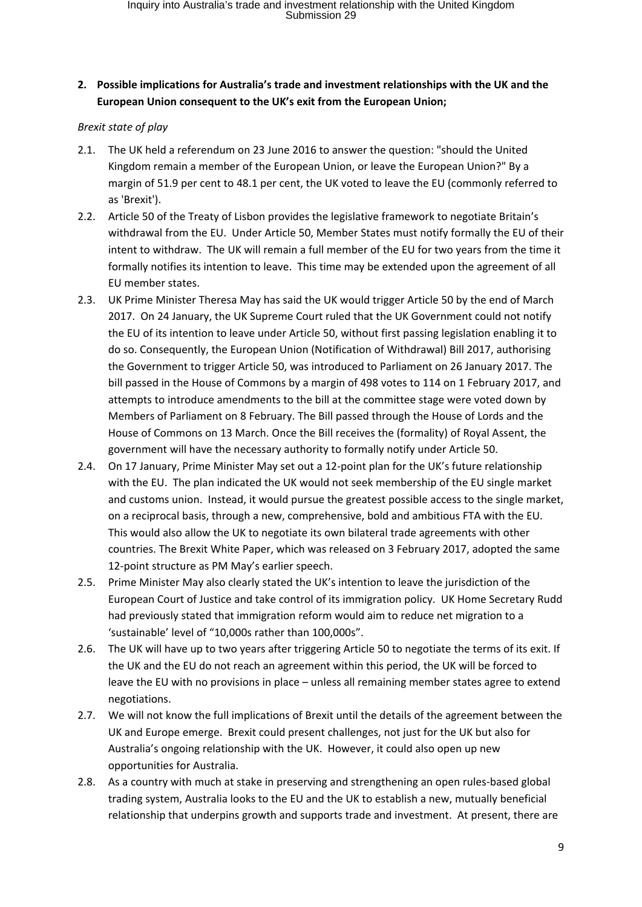# **2. Possible implications for Australia's trade and investment relationships with the UK and the European Union consequent to the UK's exit from the European Union;**

### *Brexit state of play*

- 2.1. The UK held a referendum on 23 June 2016 to answer the question: "should the United Kingdom remain a member of the European Union, or leave the European Union?" By a margin of 51.9 per cent to 48.1 per cent, the UK voted to leave the EU (commonly referred to as 'Brexit').
- 2.2. Article 50 of the Treaty of Lisbon provides the legislative framework to negotiate Britain's withdrawal from the EU. Under Article 50, Member States must notify formally the EU of their intent to withdraw. The UK will remain a full member of the EU for two years from the time it formally notifies its intention to leave. This time may be extended upon the agreement of all EU member states.
- 2.3. UK Prime Minister Theresa May has said the UK would trigger Article 50 by the end of March 2017. On 24 January, the UK Supreme Court ruled that the UK Government could not notify the EU of its intention to leave under Article 50, without first passing legislation enabling it to do so. Consequently, the European Union (Notification of Withdrawal) Bill 2017, authorising the Government to trigger Article 50, was introduced to Parliament on 26 January 2017. The bill passed in the House of Commons by a margin of 498 votes to 114 on 1 February 2017, and attempts to introduce amendments to the bill at the committee stage were voted down by Members of Parliament on 8 February. The Bill passed through the House of Lords and the House of Commons on 13 March. Once the Bill receives the (formality) of Royal Assent, the government will have the necessary authority to formally notify under Article 50.
- 2.4. On 17 January, Prime Minister May set out a 12-point plan for the UK's future relationship with the EU. The plan indicated the UK would not seek membership of the EU single market and customs union. Instead, it would pursue the greatest possible access to the single market, on a reciprocal basis, through a new, comprehensive, bold and ambitious FTA with the EU. This would also allow the UK to negotiate its own bilateral trade agreements with other countries. The Brexit White Paper, which was released on 3 February 2017, adopted the same 12-point structure as PM May's earlier speech.
- 2.5. Prime Minister May also clearly stated the UK's intention to leave the jurisdiction of the European Court of Justice and take control of its immigration policy. UK Home Secretary Rudd had previously stated that immigration reform would aim to reduce net migration to a 'sustainable' level of "10,000s rather than 100,000s".
- 2.6. The UK will have up to two years after triggering Article 50 to negotiate the terms of its exit. If the UK and the EU do not reach an agreement within this period, the UK will be forced to leave the EU with no provisions in place – unless all remaining member states agree to extend negotiations.
- 2.7. We will not know the full implications of Brexit until the details of the agreement between the UK and Europe emerge. Brexit could present challenges, not just for the UK but also for Australia's ongoing relationship with the UK. However, it could also open up new opportunities for Australia.
- 2.8. As a country with much at stake in preserving and strengthening an open rules-based global trading system, Australia looks to the EU and the UK to establish a new, mutually beneficial relationship that underpins growth and supports trade and investment. At present, there are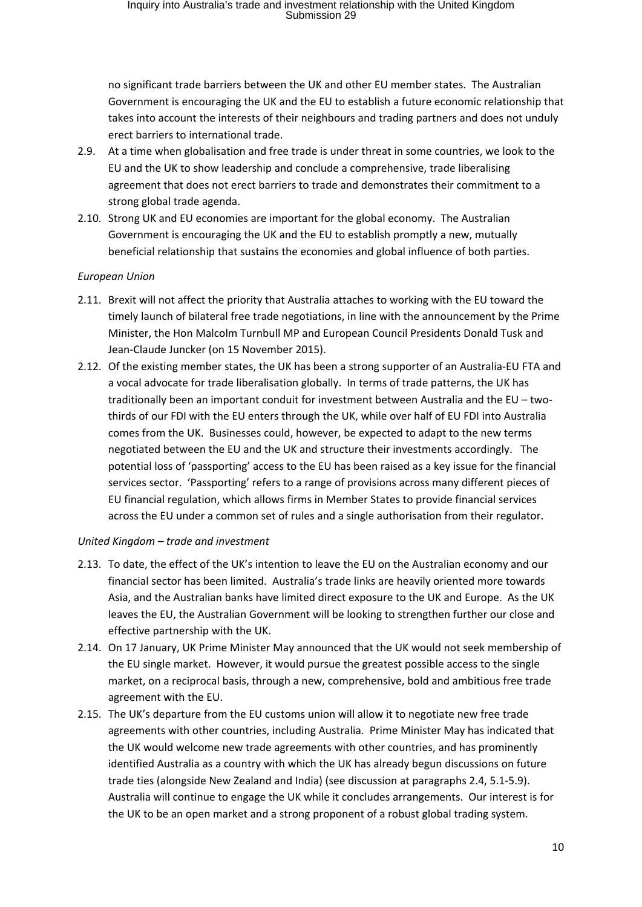no significant trade barriers between the UK and other EU member states. The Australian Government is encouraging the UK and the EU to establish a future economic relationship that takes into account the interests of their neighbours and trading partners and does not unduly erect barriers to international trade.

- 2.9. At a time when globalisation and free trade is under threat in some countries, we look to the EU and the UK to show leadership and conclude a comprehensive, trade liberalising agreement that does not erect barriers to trade and demonstrates their commitment to a strong global trade agenda.
- 2.10. Strong UK and EU economies are important for the global economy. The Australian Government is encouraging the UK and the EU to establish promptly a new, mutually beneficial relationship that sustains the economies and global influence of both parties.

#### *European Union*

- 2.11. Brexit will not affect the priority that Australia attaches to working with the EU toward the timely launch of bilateral free trade negotiations, in line with the announcement by the Prime Minister, the Hon Malcolm Turnbull MP and European Council Presidents Donald Tusk and Jean-Claude Juncker (on 15 November 2015).
- 2.12. Of the existing member states, the UK has been a strong supporter of an Australia-EU FTA and a vocal advocate for trade liberalisation globally. In terms of trade patterns, the UK has traditionally been an important conduit for investment between Australia and the EU – twothirds of our FDI with the EU enters through the UK, while over half of EU FDI into Australia comes from the UK. Businesses could, however, be expected to adapt to the new terms negotiated between the EU and the UK and structure their investments accordingly. The potential loss of 'passporting' access to the EU has been raised as a key issue for the financial services sector. 'Passporting' refers to a range of provisions across many different pieces of EU financial regulation, which allows firms in Member States to provide financial services across the EU under a common set of rules and a single authorisation from their regulator.

#### *United Kingdom – trade and investment*

- 2.13. To date, the effect of the UK's intention to leave the EU on the Australian economy and our financial sector has been limited. Australia's trade links are heavily oriented more towards Asia, and the Australian banks have limited direct exposure to the UK and Europe. As the UK leaves the EU, the Australian Government will be looking to strengthen further our close and effective partnership with the UK.
- 2.14. On 17 January, UK Prime Minister May announced that the UK would not seek membership of the EU single market. However, it would pursue the greatest possible access to the single market, on a reciprocal basis, through a new, comprehensive, bold and ambitious free trade agreement with the EU.
- 2.15. The UK's departure from the EU customs union will allow it to negotiate new free trade agreements with other countries, including Australia. Prime Minister May has indicated that the UK would welcome new trade agreements with other countries, and has prominently identified Australia as a country with which the UK has already begun discussions on future trade ties (alongside New Zealand and India) (see discussion at paragraphs 2.4, 5.1-5.9). Australia will continue to engage the UK while it concludes arrangements. Our interest is for the UK to be an open market and a strong proponent of a robust global trading system.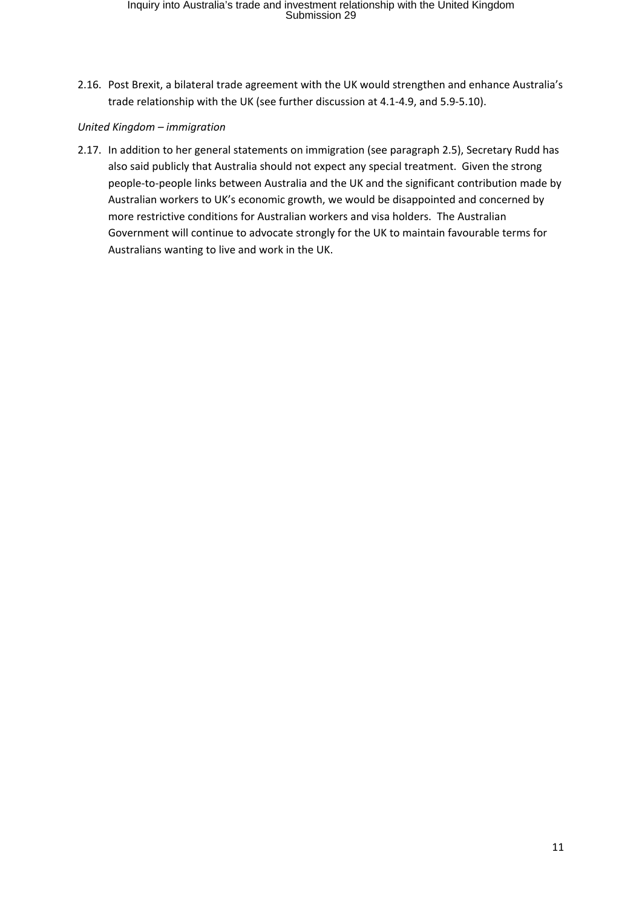2.16. Post Brexit, a bilateral trade agreement with the UK would strengthen and enhance Australia's trade relationship with the UK (see further discussion at 4.1-4.9, and 5.9-5.10).

#### *United Kingdom – immigration*

2.17. In addition to her general statements on immigration (see paragraph 2.5), Secretary Rudd has also said publicly that Australia should not expect any special treatment. Given the strong people-to-people links between Australia and the UK and the significant contribution made by Australian workers to UK's economic growth, we would be disappointed and concerned by more restrictive conditions for Australian workers and visa holders. The Australian Government will continue to advocate strongly for the UK to maintain favourable terms for Australians wanting to live and work in the UK.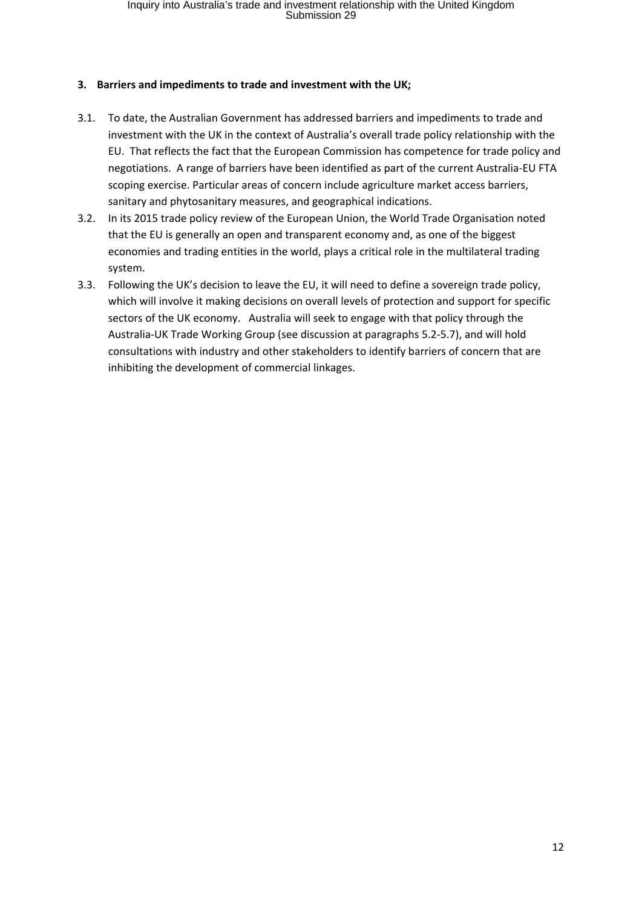#### **3. Barriers and impediments to trade and investment with the UK;**

- 3.1. To date, the Australian Government has addressed barriers and impediments to trade and investment with the UK in the context of Australia's overall trade policy relationship with the EU. That reflects the fact that the European Commission has competence for trade policy and negotiations. A range of barriers have been identified as part of the current Australia-EU FTA scoping exercise. Particular areas of concern include agriculture market access barriers, sanitary and phytosanitary measures, and geographical indications.
- 3.2. In its 2015 trade policy review of the European Union, the World Trade Organisation noted that the EU is generally an open and transparent economy and, as one of the biggest economies and trading entities in the world, plays a critical role in the multilateral trading system.
- 3.3. Following the UK's decision to leave the EU, it will need to define a sovereign trade policy, which will involve it making decisions on overall levels of protection and support for specific sectors of the UK economy. Australia will seek to engage with that policy through the Australia-UK Trade Working Group (see discussion at paragraphs 5.2-5.7), and will hold consultations with industry and other stakeholders to identify barriers of concern that are inhibiting the development of commercial linkages.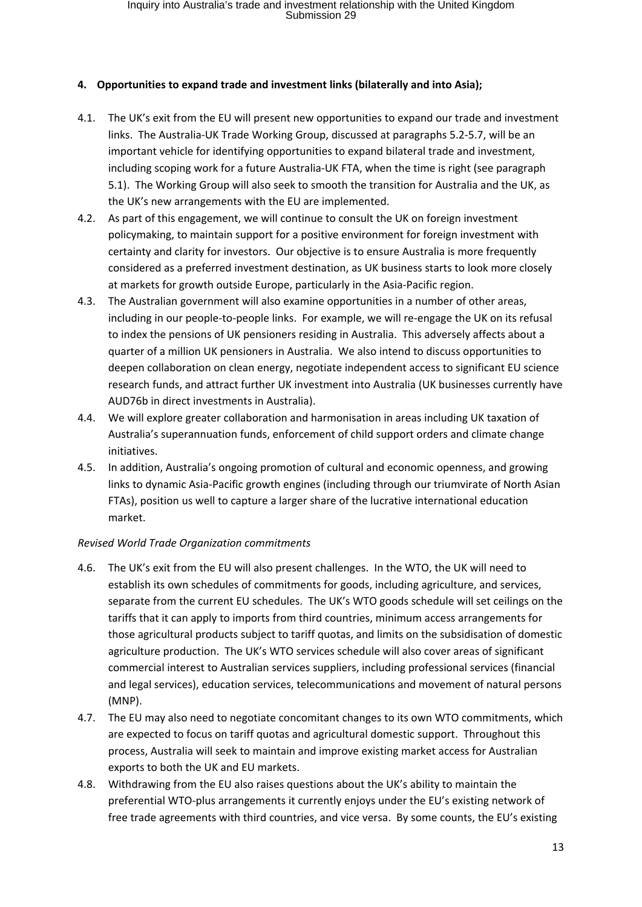### **4. Opportunities to expand trade and investment links (bilaterally and into Asia);**

- 4.1. The UK's exit from the EU will present new opportunities to expand our trade and investment links. The Australia-UK Trade Working Group, discussed at paragraphs 5.2-5.7, will be an important vehicle for identifying opportunities to expand bilateral trade and investment, including scoping work for a future Australia-UK FTA, when the time is right (see paragraph 5.1). The Working Group will also seek to smooth the transition for Australia and the UK, as the UK's new arrangements with the EU are implemented.
- 4.2. As part of this engagement, we will continue to consult the UK on foreign investment policymaking, to maintain support for a positive environment for foreign investment with certainty and clarity for investors. Our objective is to ensure Australia is more frequently considered as a preferred investment destination, as UK business starts to look more closely at markets for growth outside Europe, particularly in the Asia-Pacific region.
- 4.3. The Australian government will also examine opportunities in a number of other areas, including in our people-to-people links. For example, we will re-engage the UK on its refusal to index the pensions of UK pensioners residing in Australia. This adversely affects about a quarter of a million UK pensioners in Australia. We also intend to discuss opportunities to deepen collaboration on clean energy, negotiate independent access to significant EU science research funds, and attract further UK investment into Australia (UK businesses currently have AUD76b in direct investments in Australia).
- 4.4. We will explore greater collaboration and harmonisation in areas including UK taxation of Australia's superannuation funds, enforcement of child support orders and climate change initiatives.
- 4.5. In addition, Australia's ongoing promotion of cultural and economic openness, and growing links to dynamic Asia-Pacific growth engines (including through our triumvirate of North Asian FTAs), position us well to capture a larger share of the lucrative international education market.

#### *Revised World Trade Organization commitments*

- 4.6. The UK's exit from the EU will also present challenges. In the WTO, the UK will need to establish its own schedules of commitments for goods, including agriculture, and services, separate from the current EU schedules. The UK's WTO goods schedule will set ceilings on the tariffs that it can apply to imports from third countries, minimum access arrangements for those agricultural products subject to tariff quotas, and limits on the subsidisation of domestic agriculture production. The UK's WTO services schedule will also cover areas of significant commercial interest to Australian services suppliers, including professional services (financial and legal services), education services, telecommunications and movement of natural persons (MNP).
- 4.7. The EU may also need to negotiate concomitant changes to its own WTO commitments, which are expected to focus on tariff quotas and agricultural domestic support. Throughout this process, Australia will seek to maintain and improve existing market access for Australian exports to both the UK and EU markets.
- 4.8. Withdrawing from the EU also raises questions about the UK's ability to maintain the preferential WTO-plus arrangements it currently enjoys under the EU's existing network of free trade agreements with third countries, and vice versa. By some counts, the EU's existing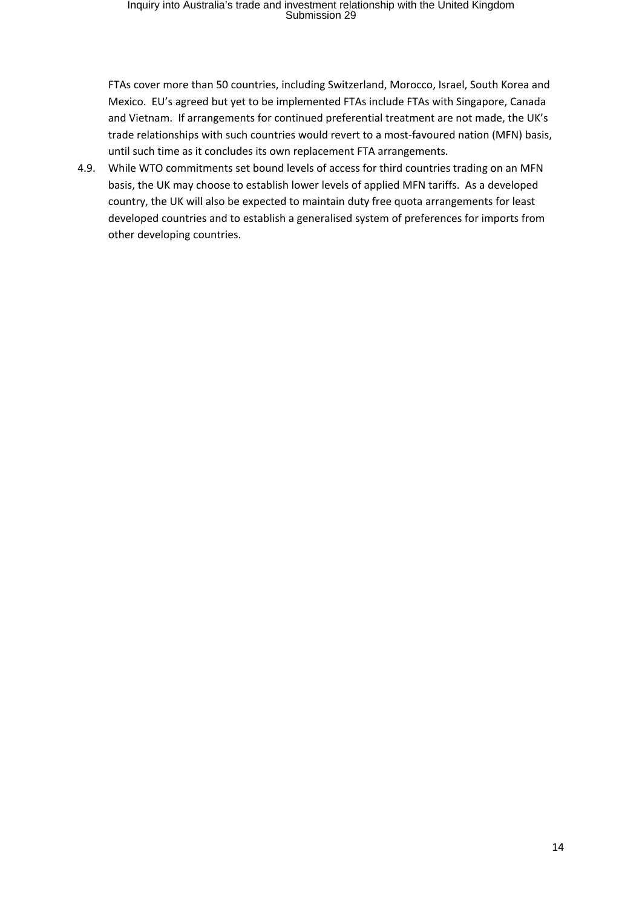FTAs cover more than 50 countries, including Switzerland, Morocco, Israel, South Korea and Mexico. EU's agreed but yet to be implemented FTAs include FTAs with Singapore, Canada and Vietnam. If arrangements for continued preferential treatment are not made, the UK's trade relationships with such countries would revert to a most-favoured nation (MFN) basis, until such time as it concludes its own replacement FTA arrangements.

4.9. While WTO commitments set bound levels of access for third countries trading on an MFN basis, the UK may choose to establish lower levels of applied MFN tariffs. As a developed country, the UK will also be expected to maintain duty free quota arrangements for least developed countries and to establish a generalised system of preferences for imports from other developing countries.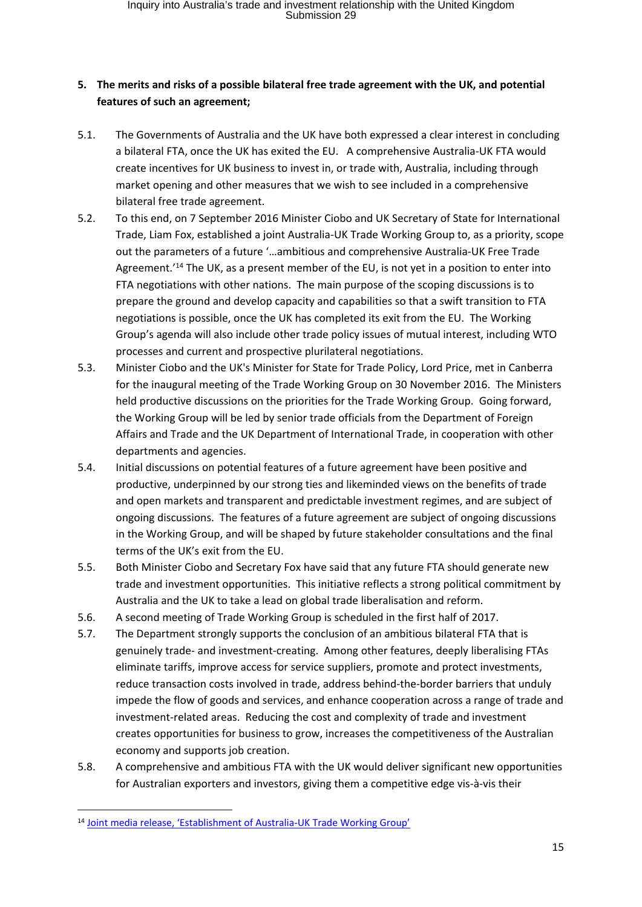# **5. The merits and risks of a possible bilateral free trade agreement with the UK, and potential features of such an agreement;**

- 5.1. The Governments of Australia and the UK have both expressed a clear interest in concluding a bilateral FTA, once the UK has exited the EU. A comprehensive Australia-UK FTA would create incentives for UK business to invest in, or trade with, Australia, including through market opening and other measures that we wish to see included in a comprehensive bilateral free trade agreement.
- 5.2. To this end, on 7 September 2016 Minister Ciobo and UK Secretary of State for International Trade, Liam Fox, established a joint Australia-UK Trade Working Group to, as a priority, scope out the parameters of a future '…ambitious and comprehensive Australia-UK Free Trade Agreement.<sup>'14</sup> The UK, as a present member of the EU, is not yet in a position to enter into FTA negotiations with other nations. The main purpose of the scoping discussions is to prepare the ground and develop capacity and capabilities so that a swift transition to FTA negotiations is possible, once the UK has completed its exit from the EU. The Working Group's agenda will also include other trade policy issues of mutual interest, including WTO processes and current and prospective plurilateral negotiations.
- 5.3. Minister Ciobo and the UK's Minister for State for Trade Policy, Lord Price, met in Canberra for the inaugural meeting of the Trade Working Group on 30 November 2016. The Ministers held productive discussions on the priorities for the Trade Working Group. Going forward, the Working Group will be led by senior trade officials from the Department of Foreign Affairs and Trade and the UK Department of International Trade, in cooperation with other departments and agencies.
- 5.4. Initial discussions on potential features of a future agreement have been positive and productive, underpinned by our strong ties and likeminded views on the benefits of trade and open markets and transparent and predictable investment regimes, and are subject of ongoing discussions. The features of a future agreement are subject of ongoing discussions in the Working Group, and will be shaped by future stakeholder consultations and the final terms of the UK's exit from the EU.
- 5.5. Both Minister Ciobo and Secretary Fox have said that any future FTA should generate new trade and investment opportunities. This initiative reflects a strong political commitment by Australia and the UK to take a lead on global trade liberalisation and reform.
- 5.6. A second meeting of Trade Working Group is scheduled in the first half of 2017.
- 5.7. The Department strongly supports the conclusion of an ambitious bilateral FTA that is genuinely trade- and investment-creating. Among other features, deeply liberalising FTAs eliminate tariffs, improve access for service suppliers, promote and protect investments, reduce transaction costs involved in trade, address behind-the-border barriers that unduly impede the flow of goods and services, and enhance cooperation across a range of trade and investment-related areas. Reducing the cost and complexity of trade and investment creates opportunities for business to grow, increases the competitiveness of the Australian economy and supports job creation.
- 5.8. A comprehensive and ambitious FTA with the UK would deliver significant new opportunities for Australian exporters and investors, giving them a competitive edge vis-à-vis their

<sup>14</sup> Joint media release, 'Establishment of Australia-UK Trade Working Group'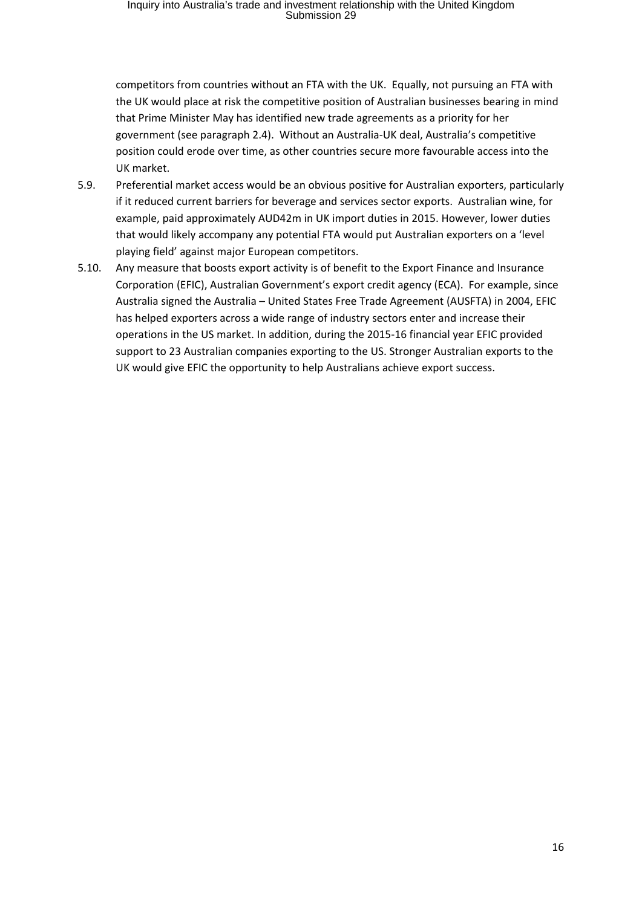competitors from countries without an FTA with the UK. Equally, not pursuing an FTA with the UK would place at risk the competitive position of Australian businesses bearing in mind that Prime Minister May has identified new trade agreements as a priority for her government (see paragraph 2.4). Without an Australia-UK deal, Australia's competitive position could erode over time, as other countries secure more favourable access into the UK market.

- 5.9. Preferential market access would be an obvious positive for Australian exporters, particularly if it reduced current barriers for beverage and services sector exports. Australian wine, for example, paid approximately AUD42m in UK import duties in 2015. However, lower duties that would likely accompany any potential FTA would put Australian exporters on a 'level playing field' against major European competitors.
- 5.10. Any measure that boosts export activity is of benefit to the Export Finance and Insurance Corporation (EFIC), Australian Government's export credit agency (ECA). For example, since Australia signed the Australia – United States Free Trade Agreement (AUSFTA) in 2004, EFIC has helped exporters across a wide range of industry sectors enter and increase their operations in the US market. In addition, during the 2015-16 financial year EFIC provided support to 23 Australian companies exporting to the US. Stronger Australian exports to the UK would give EFIC the opportunity to help Australians achieve export success.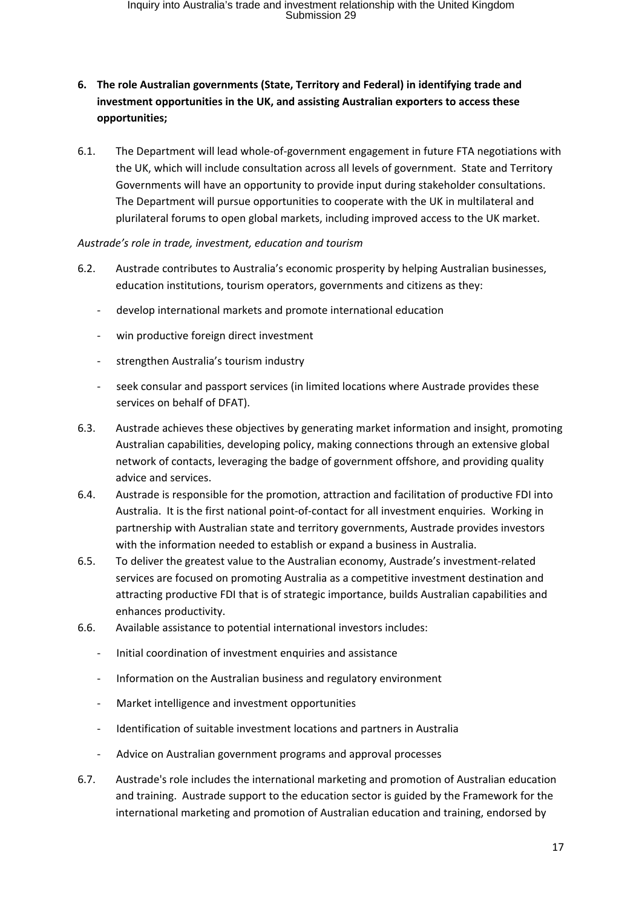# **6. The role Australian governments (State, Territory and Federal) in identifying trade and investment opportunities in the UK, and assisting Australian exporters to access these opportunities;**

6.1. The Department will lead whole-of-government engagement in future FTA negotiations with the UK, which will include consultation across all levels of government. State and Territory Governments will have an opportunity to provide input during stakeholder consultations. The Department will pursue opportunities to cooperate with the UK in multilateral and plurilateral forums to open global markets, including improved access to the UK market.

#### *Austrade's role in trade, investment, education and tourism*

- 6.2. Austrade contributes to Australia's economic prosperity by helping Australian businesses, education institutions, tourism operators, governments and citizens as they:
	- develop international markets and promote international education
	- win productive foreign direct investment
	- strengthen Australia's tourism industry
	- seek consular and passport services (in limited locations where Austrade provides these services on behalf of DFAT).
- 6.3. Austrade achieves these objectives by generating market information and insight, promoting Australian capabilities, developing policy, making connections through an extensive global network of contacts, leveraging the badge of government offshore, and providing quality advice and services.
- 6.4. Austrade is responsible for the promotion, attraction and facilitation of productive FDI into Australia. It is the first national point-of-contact for all investment enquiries. Working in partnership with Australian state and territory governments, Austrade provides investors with the information needed to establish or expand a business in Australia.
- 6.5. To deliver the greatest value to the Australian economy, Austrade's investment-related services are focused on promoting Australia as a competitive investment destination and attracting productive FDI that is of strategic importance, builds Australian capabilities and enhances productivity.
- 6.6. Available assistance to potential international investors includes:
	- Initial coordination of investment enquiries and assistance
	- Information on the Australian business and regulatory environment
	- Market intelligence and investment opportunities
	- Identification of suitable investment locations and partners in Australia
	- Advice on Australian government programs and approval processes
- 6.7. Austrade's role includes the international marketing and promotion of Australian education and training. Austrade support to the education sector is guided by the Framework for the international marketing and promotion of Australian education and training, endorsed by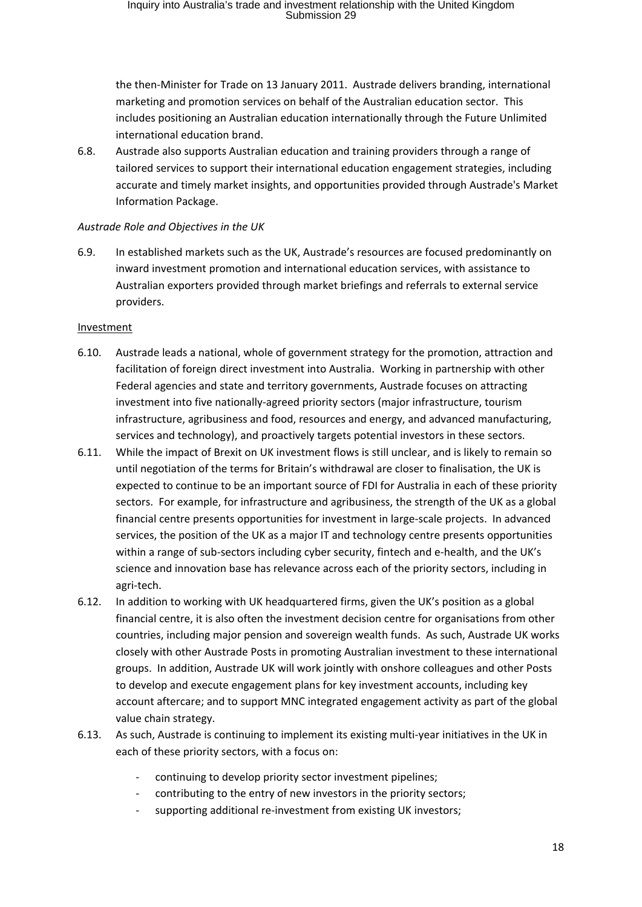the then-Minister for Trade on 13 January 2011. Austrade delivers branding, international marketing and promotion services on behalf of the Australian education sector. This includes positioning an Australian education internationally through the Future Unlimited international education brand.

6.8. Austrade also supports Australian education and training providers through a range of tailored services to support their international education engagement strategies, including accurate and timely market insights, and opportunities provided through Austrade's Market Information Package.

#### *Austrade Role and Objectives in the UK*

6.9. In established markets such as the UK, Austrade's resources are focused predominantly on inward investment promotion and international education services, with assistance to Australian exporters provided through market briefings and referrals to external service providers.

#### Investment

- 6.10. Austrade leads a national, whole of government strategy for the promotion, attraction and facilitation of foreign direct investment into Australia. Working in partnership with other Federal agencies and state and territory governments, Austrade focuses on attracting investment into five nationally-agreed priority sectors (major infrastructure, tourism infrastructure, agribusiness and food, resources and energy, and advanced manufacturing, services and technology), and proactively targets potential investors in these sectors.
- 6.11. While the impact of Brexit on UK investment flows is still unclear, and is likely to remain so until negotiation of the terms for Britain's withdrawal are closer to finalisation, the UK is expected to continue to be an important source of FDI for Australia in each of these priority sectors. For example, for infrastructure and agribusiness, the strength of the UK as a global financial centre presents opportunities for investment in large-scale projects. In advanced services, the position of the UK as a major IT and technology centre presents opportunities within a range of sub-sectors including cyber security, fintech and e-health, and the UK's science and innovation base has relevance across each of the priority sectors, including in agri-tech.
- 6.12. In addition to working with UK headquartered firms, given the UK's position as a global financial centre, it is also often the investment decision centre for organisations from other countries, including major pension and sovereign wealth funds. As such, Austrade UK works closely with other Austrade Posts in promoting Australian investment to these international groups. In addition, Austrade UK will work jointly with onshore colleagues and other Posts to develop and execute engagement plans for key investment accounts, including key account aftercare; and to support MNC integrated engagement activity as part of the global value chain strategy.
- 6.13. As such, Austrade is continuing to implement its existing multi-year initiatives in the UK in each of these priority sectors, with a focus on:
	- continuing to develop priority sector investment pipelines;
	- contributing to the entry of new investors in the priority sectors;
	- supporting additional re-investment from existing UK investors;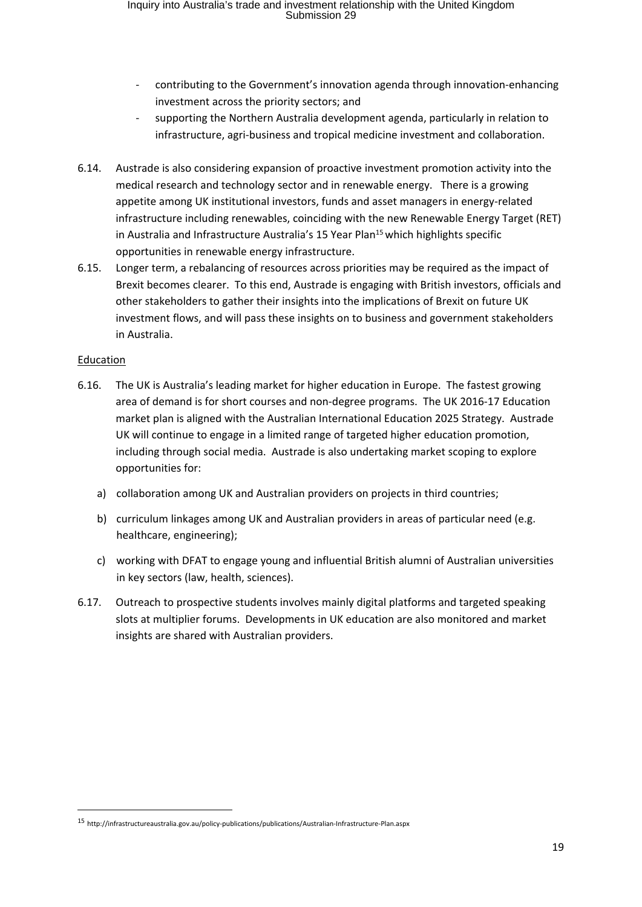- contributing to the Government's innovation agenda through innovation-enhancing investment across the priority sectors; and
- supporting the Northern Australia development agenda, particularly in relation to infrastructure, agri-business and tropical medicine investment and collaboration.
- 6.14. Austrade is also considering expansion of proactive investment promotion activity into the medical research and technology sector and in renewable energy. There is a growing appetite among UK institutional investors, funds and asset managers in energy-related infrastructure including renewables, coinciding with the new Renewable Energy Target (RET) in Australia and Infrastructure Australia's 15 Year Plan<sup>15</sup> which highlights specific opportunities in renewable energy infrastructure.
- 6.15. Longer term, a rebalancing of resources across priorities may be required as the impact of Brexit becomes clearer. To this end, Austrade is engaging with British investors, officials and other stakeholders to gather their insights into the implications of Brexit on future UK investment flows, and will pass these insights on to business and government stakeholders in Australia.

#### Education

- 6.16. The UK is Australia's leading market for higher education in Europe. The fastest growing area of demand is for short courses and non-degree programs. The UK 2016-17 Education market plan is aligned with the Australian International Education 2025 Strategy. Austrade UK will continue to engage in a limited range of targeted higher education promotion, including through social media. Austrade is also undertaking market scoping to explore opportunities for:
	- a) collaboration among UK and Australian providers on projects in third countries;
	- b) curriculum linkages among UK and Australian providers in areas of particular need (e.g. healthcare, engineering);
	- c) working with DFAT to engage young and influential British alumni of Australian universities in key sectors (law, health, sciences).
- 6.17. Outreach to prospective students involves mainly digital platforms and targeted speaking slots at multiplier forums. Developments in UK education are also monitored and market insights are shared with Australian providers.

<sup>15</sup> http://infrastructureaustralia.gov.au/policy-publications/publications/Australian-Infrastructure-Plan.aspx